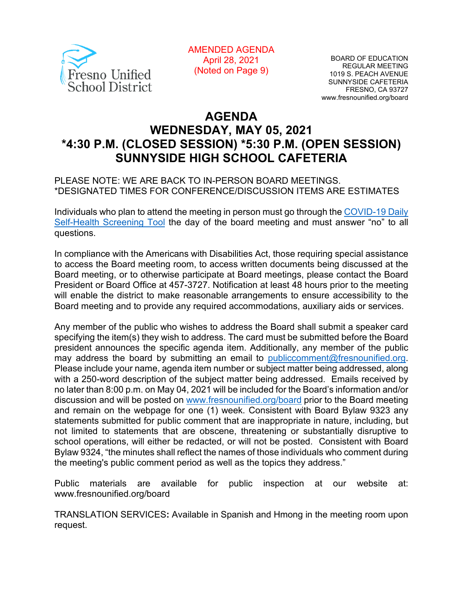

AMENDED AGENDA April 28, 2021 (Noted on Page 9)

BOARD OF EDUCATION REGULAR MEETING 1019 S. PEACH AVENUE SUNNYSIDE CAFETERIA FRESNO, CA 93727 www.fresnounified.org/board

# **AGENDA WEDNESDAY, MAY 05, 2021 \*4:30 P.M. (CLOSED SESSION) \*5:30 P.M. (OPEN SESSION) SUNNYSIDE HIGH SCHOOL CAFETERIA**

### PLEASE NOTE: WE ARE BACK TO IN-PERSON BOARD MEETINGS. \*DESIGNATED TIMES FOR CONFERENCE/DISCUSSION ITEMS ARE ESTIMATES

Individuals who plan to attend the meeting in person must go through the [COVID-19 Daily](https://health.fresnounified.org/wp-content/uploads/FUSD-Self-Health-Screening-Tool.pdf)  [Self-Health Screening Tool](https://health.fresnounified.org/wp-content/uploads/FUSD-Self-Health-Screening-Tool.pdf) the day of the board meeting and must answer "no" to all questions.

In compliance with the Americans with Disabilities Act, those requiring special assistance to access the Board meeting room, to access written documents being discussed at the Board meeting, or to otherwise participate at Board meetings, please contact the Board President or Board Office at 457-3727. Notification at least 48 hours prior to the meeting will enable the district to make reasonable arrangements to ensure accessibility to the Board meeting and to provide any required accommodations, auxiliary aids or services.

Any member of the public who wishes to address the Board shall submit a speaker card specifying the item(s) they wish to address. The card must be submitted before the Board president announces the specific agenda item. Additionally, any member of the public may address the board by submitting an email to [publiccomment@fresnounified.org.](mailto:publiccomment@fresnounified.org) Please include your name, agenda item number or subject matter being addressed, along with a 250-word description of the subject matter being addressed. Emails received by no later than 8:00 p.m. on May 04, 2021 will be included for the Board's information and/or discussion and will be posted on [www.fresnounified.org/board](http://www.fresnounified.org/board) prior to the Board meeting and remain on the webpage for one (1) week. Consistent with Board Bylaw 9323 any statements submitted for public comment that are inappropriate in nature, including, but not limited to statements that are obscene, threatening or substantially disruptive to school operations, will either be redacted, or will not be posted. Consistent with Board Bylaw 9324, "the minutes shall reflect the names of those individuals who comment during the meeting's public comment period as well as the topics they address."

Public materials are available for public inspection at our website at: www.fresnounified.org/board

TRANSLATION SERVICES**:** Available in Spanish and Hmong in the meeting room upon request.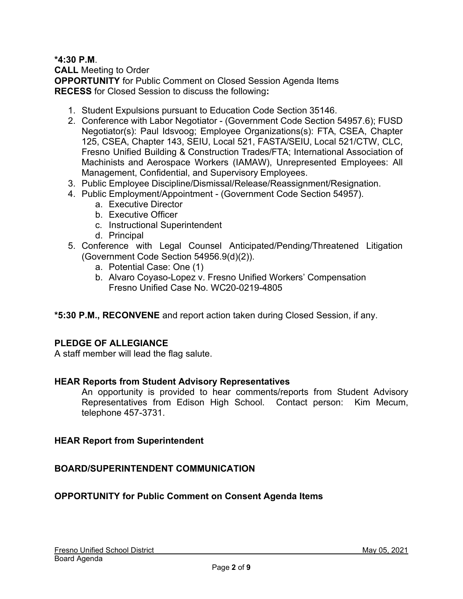### **\*4:30 P.M**.

**CALL** Meeting to Order **OPPORTUNITY** for Public Comment on Closed Session Agenda Items **RECESS** for Closed Session to discuss the following**:**

- 1. Student Expulsions pursuant to Education Code Section 35146.
- 2. Conference with Labor Negotiator (Government Code Section 54957.6); FUSD Negotiator(s): Paul Idsvoog; Employee Organizations(s): FTA, CSEA, Chapter 125, CSEA, Chapter 143, SEIU, Local 521, FASTA/SEIU, Local 521/CTW, CLC, Fresno Unified Building & Construction Trades/FTA; International Association of Machinists and Aerospace Workers (IAMAW), Unrepresented Employees: All Management, Confidential, and Supervisory Employees.
- 3. Public Employee Discipline/Dismissal/Release/Reassignment/Resignation.
- 4. Public Employment/Appointment (Government Code Section 54957).
	- a. Executive Director
	- b. Executive Officer
	- c. Instructional Superintendent
	- d. Principal
- 5. Conference with Legal Counsel Anticipated/Pending/Threatened Litigation (Government Code Section 54956.9(d)(2)).
	- a. Potential Case: One (1)
	- b. Alvaro Coyaso-Lopez v. Fresno Unified Workers' Compensation Fresno Unified Case No. WC20-0219-4805
- **\*5:30 P.M., RECONVENE** and report action taken during Closed Session, if any.

# **PLEDGE OF ALLEGIANCE**

A staff member will lead the flag salute.

### **HEAR Reports from Student Advisory Representatives**

An opportunity is provided to hear comments/reports from Student Advisory Representatives from Edison High School. Contact person: Kim Mecum, telephone 457-3731.

### **HEAR Report from Superintendent**

### **BOARD/SUPERINTENDENT COMMUNICATION**

# **OPPORTUNITY for Public Comment on Consent Agenda Items**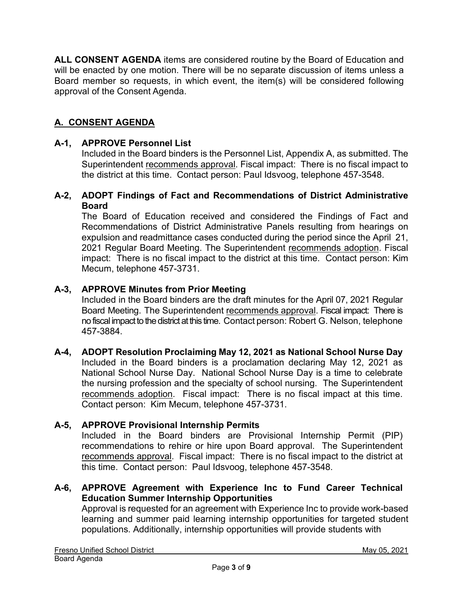**ALL CONSENT AGENDA** items are considered routine by the Board of Education and will be enacted by one motion. There will be no separate discussion of items unless a Board member so requests, in which event, the item(s) will be considered following approval of the Consent Agenda.

# **A. CONSENT AGENDA**

### **A-1, APPROVE Personnel List**

Included in the Board binders is the Personnel List, Appendix A, as submitted. The Superintendent recommends approval. Fiscal impact: There is no fiscal impact to the district at this time. Contact person: Paul Idsvoog, telephone 457-3548.

### **A-2, ADOPT Findings of Fact and Recommendations of District Administrative Board**

The Board of Education received and considered the Findings of Fact and Recommendations of District Administrative Panels resulting from hearings on expulsion and readmittance cases conducted during the period since the April 21, 2021 Regular Board Meeting. The Superintendent recommends adoption. Fiscal impact: There is no fiscal impact to the district at this time. Contact person: Kim Mecum, telephone 457-3731.

### **A-3, APPROVE Minutes from Prior Meeting**

Included in the Board binders are the draft minutes for the April 07, 2021 Regular Board Meeting. The Superintendent recommends approval. Fiscal impact: There is no fiscal impact to the district at this time. Contact person: Robert G. Nelson, telephone 457-3884.

#### **A-4, ADOPT Resolution Proclaiming May 12, 2021 as National School Nurse Day** Included in the Board binders is a proclamation declaring May 12, 2021 as National School Nurse Day. National School Nurse Day is a time to celebrate the nursing profession and the specialty of school nursing. The Superintendent recommends adoption. Fiscal impact: There is no fiscal impact at this time. Contact person: Kim Mecum, telephone 457-3731.

# **A-5, APPROVE Provisional Internship Permits**

Included in the Board binders are Provisional Internship Permit (PIP) recommendations to rehire or hire upon Board approval. The Superintendent recommends approval. Fiscal impact: There is no fiscal impact to the district at this time. Contact person: Paul Idsvoog, telephone 457-3548.

# **A-6, APPROVE Agreement with Experience Inc to Fund Career Technical Education Summer Internship Opportunities**

Approval is requested for an agreement with Experience Inc to provide work-based learning and summer paid learning internship opportunities for targeted student populations. Additionally, internship opportunities will provide students with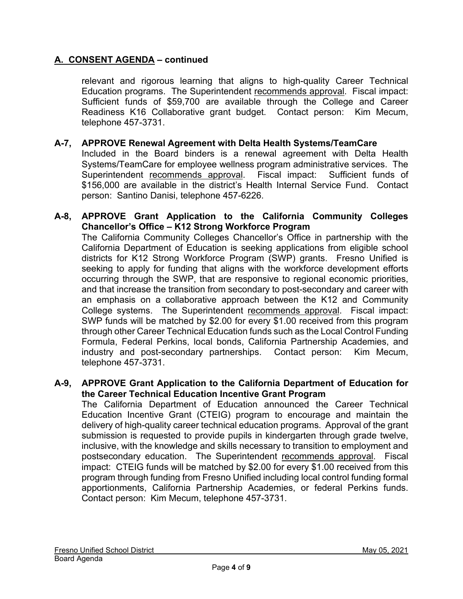# **A. CONSENT AGENDA – continued**

relevant and rigorous learning that aligns to high-quality Career Technical Education programs. The Superintendent recommends approval. Fiscal impact: Sufficient funds of \$59,700 are available through the College and Career Readiness K16 Collaborative grant budget. Contact person: Kim Mecum, telephone 457-3731.

# **A-7, APPROVE Renewal Agreement with Delta Health Systems/TeamCare**

Included in the Board binders is a renewal agreement with Delta Health Systems/TeamCare for employee wellness program administrative services. The Superintendent recommends approval. Fiscal impact: Sufficient funds of \$156,000 are available in the district's Health Internal Service Fund. Contact person: Santino Danisi, telephone 457-6226.

### **A-8, APPROVE Grant Application to the California Community Colleges Chancellor's Office – K12 Strong Workforce Program**

The California Community Colleges Chancellor's Office in partnership with the California Department of Education is seeking applications from eligible school districts for K12 Strong Workforce Program (SWP) grants. Fresno Unified is seeking to apply for funding that aligns with the workforce development efforts occurring through the SWP, that are responsive to regional economic priorities, and that increase the transition from secondary to post-secondary and career with an emphasis on a collaborative approach between the K12 and Community College systems. The Superintendent recommends approval. Fiscal impact: SWP funds will be matched by \$2.00 for every \$1.00 received from this program through other Career Technical Education funds such as the Local Control Funding Formula, Federal Perkins, local bonds, California Partnership Academies, and industry and post-secondary partnerships. Contact person: Kim Mecum, telephone 457-3731.

### **A-9, APPROVE Grant Application to the California Department of Education for the Career Technical Education Incentive Grant Program**

The California Department of Education announced the Career Technical Education Incentive Grant (CTEIG) program to encourage and maintain the delivery of high-quality career technical education programs. Approval of the grant submission is requested to provide pupils in kindergarten through grade twelve, inclusive, with the knowledge and skills necessary to transition to employment and postsecondary education. The Superintendent recommends approval. Fiscal impact: CTEIG funds will be matched by \$2.00 for every \$1.00 received from this program through funding from Fresno Unified including local control funding formal apportionments, California Partnership Academies, or federal Perkins funds. Contact person: Kim Mecum, telephone 457-3731.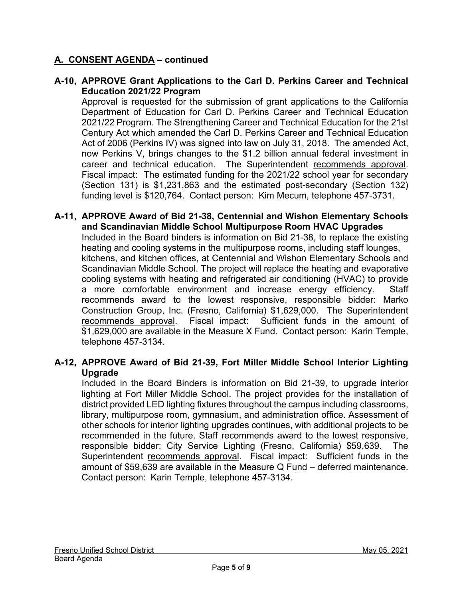# **A. CONSENT AGENDA – continued**

### **A-10, APPROVE Grant Applications to the Carl D. Perkins Career and Technical Education 2021/22 Program**

Approval is requested for the submission of grant applications to the California Department of Education for Carl D. Perkins Career and Technical Education 2021/22 Program. The Strengthening Career and Technical Education for the 21st Century Act which amended the Carl D. Perkins Career and Technical Education Act of 2006 (Perkins IV) was signed into law on July 31, 2018. The amended Act, now Perkins V, brings changes to the \$1.2 billion annual federal investment in career and technical education. The Superintendent recommends approval. Fiscal impact: The estimated funding for the 2021/22 school year for secondary (Section 131) is \$1,231,863 and the estimated post-secondary (Section 132) funding level is \$120,764. Contact person: Kim Mecum, telephone 457-3731.

#### **A-11, APPROVE Award of Bid 21-38, Centennial and Wishon Elementary Schools and Scandinavian Middle School Multipurpose Room HVAC Upgrades**

Included in the Board binders is information on Bid 21-38, to replace the existing heating and cooling systems in the multipurpose rooms, including staff lounges, kitchens, and kitchen offices, at Centennial and Wishon Elementary Schools and Scandinavian Middle School. The project will replace the heating and evaporative cooling systems with heating and refrigerated air conditioning (HVAC) to provide a more comfortable environment and increase energy efficiency. Staff recommends award to the lowest responsive, responsible bidder: Marko Construction Group, Inc. (Fresno, California) \$1,629,000. The Superintendent recommends approval. Fiscal impact: Sufficient funds in the amount of \$1,629,000 are available in the Measure X Fund. Contact person: Karin Temple, telephone 457-3134.

### **A-12, APPROVE Award of Bid 21-39, Fort Miller Middle School Interior Lighting Upgrade**

Included in the Board Binders is information on Bid 21-39, to upgrade interior lighting at Fort Miller Middle School. The project provides for the installation of district provided LED lighting fixtures throughout the campus including classrooms, library, multipurpose room, gymnasium, and administration office. Assessment of other schools for interior lighting upgrades continues, with additional projects to be recommended in the future. Staff recommends award to the lowest responsive, responsible bidder: City Service Lighting (Fresno, California) \$59,639. The Superintendent recommends approval. Fiscal impact: Sufficient funds in the amount of \$59,639 are available in the Measure Q Fund – deferred maintenance. Contact person: Karin Temple, telephone 457-3134.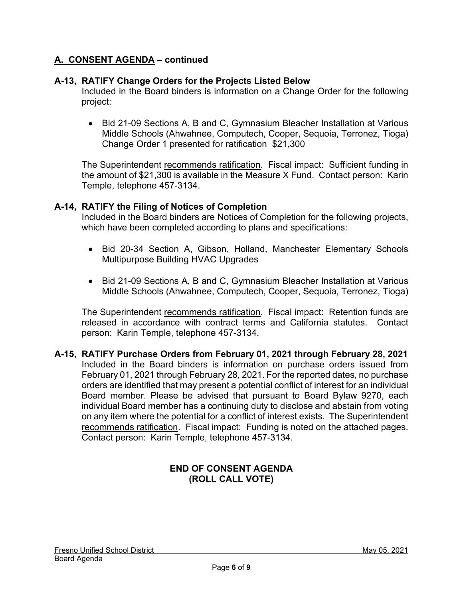# **A. CONSENT AGENDA – continued**

### **A-13, RATIFY Change Orders for the Projects Listed Below**

Included in the Board binders is information on a Change Order for the following project:

• Bid 21-09 Sections A, B and C, Gymnasium Bleacher Installation at Various Middle Schools (Ahwahnee, Computech, Cooper, Sequoia, Terronez, Tioga) Change Order 1 presented for ratification \$21,300

The Superintendent recommends ratification. Fiscal impact: Sufficient funding in the amount of \$21,300 is available in the Measure X Fund. Contact person: Karin Temple, telephone 457-3134.

### **A-14, RATIFY the Filing of Notices of Completion**

Included in the Board binders are Notices of Completion for the following projects, which have been completed according to plans and specifications:

- Bid 20-34 Section A, Gibson, Holland, Manchester Elementary Schools Multipurpose Building HVAC Upgrades
- Bid 21-09 Sections A, B and C, Gymnasium Bleacher Installation at Various Middle Schools (Ahwahnee, Computech, Cooper, Sequoia, Terronez, Tioga)

The Superintendent recommends ratification. Fiscal impact: Retention funds are released in accordance with contract terms and California statutes. Contact person: Karin Temple, telephone 457-3134.

**A-15, RATIFY Purchase Orders from February 01, 2021 through February 28, 2021** Included in the Board binders is information on purchase orders issued from February 01, 2021 through February 28, 2021. For the reported dates, no purchase orders are identified that may present a potential conflict of interest for an individual Board member. Please be advised that pursuant to Board Bylaw 9270, each individual Board member has a continuing duty to disclose and abstain from voting on any item where the potential for a conflict of interest exists. The Superintendent recommends ratification. Fiscal impact: Funding is noted on the attached pages. Contact person: Karin Temple, telephone 457-3134.

# **END OF CONSENT AGENDA (ROLL CALL VOTE)**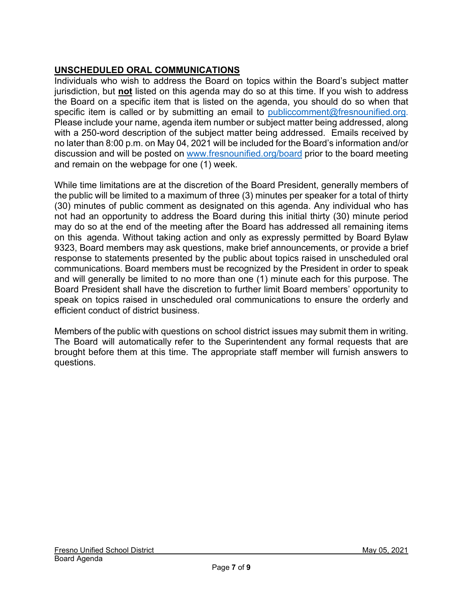# **UNSCHEDULED ORAL COMMUNICATIONS**

Individuals who wish to address the Board on topics within the Board's subject matter jurisdiction, but **not** listed on this agenda may do so at this time. If you wish to address the Board on a specific item that is listed on the agenda, you should do so when that specific item is called or by submitting an email to [publiccomment@fresnounified.org.](mailto:publiccomment@fresnounified.org) Please include your name, agenda item number or subject matter being addressed, along with a 250-word description of the subject matter being addressed. Emails received by no later than 8:00 p.m. on May 04, 2021 will be included for the Board's information and/or discussion and will be posted on [www.fresnounified.org/board](http://www.fresnounified.org/board) prior to the board meeting and remain on the webpage for one (1) week.

While time limitations are at the discretion of the Board President, generally members of the public will be limited to a maximum of three (3) minutes per speaker for a total of thirty (30) minutes of public comment as designated on this agenda. Any individual who has not had an opportunity to address the Board during this initial thirty (30) minute period may do so at the end of the meeting after the Board has addressed all remaining items on this agenda. Without taking action and only as expressly permitted by Board Bylaw 9323, Board members may ask questions, make brief announcements, or provide a brief response to statements presented by the public about topics raised in unscheduled oral communications. Board members must be recognized by the President in order to speak and will generally be limited to no more than one (1) minute each for this purpose. The Board President shall have the discretion to further limit Board members' opportunity to speak on topics raised in unscheduled oral communications to ensure the orderly and efficient conduct of district business.

Members of the public with questions on school district issues may submit them in writing. The Board will automatically refer to the Superintendent any formal requests that are brought before them at this time. The appropriate staff member will furnish answers to questions.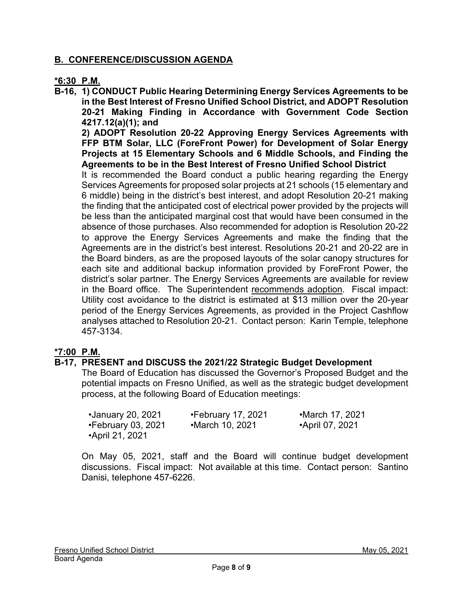# **B. CONFERENCE/DISCUSSION AGENDA**

# **\*6:30 P.M.**

**B-16, 1) CONDUCT Public Hearing Determining Energy Services Agreements to be in the Best Interest of Fresno Unified School District, and ADOPT Resolution 20-21 Making Finding in Accordance with Government Code Section 4217.12(a)(1); and** 

**2) ADOPT Resolution 20-22 Approving Energy Services Agreements with FFP BTM Solar, LLC (ForeFront Power) for Development of Solar Energy Projects at 15 Elementary Schools and 6 Middle Schools, and Finding the Agreements to be in the Best Interest of Fresno Unified School District**

It is recommended the Board conduct a public hearing regarding the Energy Services Agreements for proposed solar projects at 21 schools (15 elementary and 6 middle) being in the district's best interest, and adopt Resolution 20-21 making the finding that the anticipated cost of electrical power provided by the projects will be less than the anticipated marginal cost that would have been consumed in the absence of those purchases. Also recommended for adoption is Resolution 20-22 to approve the Energy Services Agreements and make the finding that the Agreements are in the district's best interest. Resolutions 20-21 and 20-22 are in the Board binders, as are the proposed layouts of the solar canopy structures for each site and additional backup information provided by ForeFront Power, the district's solar partner. The Energy Services Agreements are available for review in the Board office. The Superintendent recommends adoption. Fiscal impact: Utility cost avoidance to the district is estimated at \$13 million over the 20-year period of the Energy Services Agreements, as provided in the Project Cashflow analyses attached to Resolution 20-21. Contact person: Karin Temple, telephone 457-3134.

# **\*7:00 P.M.**

# **B-17, PRESENT and DISCUSS the 2021/22 Strategic Budget Development**

The Board of Education has discussed the Governor's Proposed Budget and the potential impacts on Fresno Unified, as well as the strategic budget development process, at the following Board of Education meetings:

| •January 20, 2021         | $\cdot$ February 17, 2021 | •March 17, 2021 |
|---------------------------|---------------------------|-----------------|
| $\cdot$ February 03, 2021 | •March 10, 2021           | •April 07, 2021 |
| <b>•April 21, 2021</b>    |                           |                 |

On May 05, 2021, staff and the Board will continue budget development discussions. Fiscal impact: Not available at this time. Contact person: Santino Danisi, telephone 457-6226.